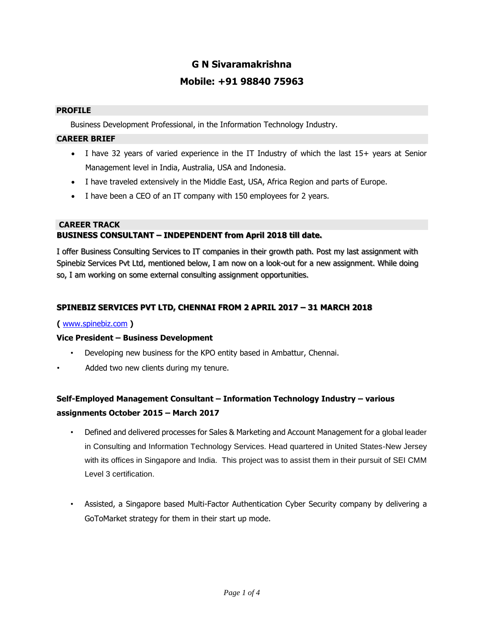# **G N Sivaramakrishna Mobile: +91 98840 75963**

#### **PROFILE**

Business Development Professional, in the Information Technology Industry.

#### **CAREER BRIEF**

- I have 32 years of varied experience in the IT Industry of which the last 15+ years at Senior Management level in India, Australia, USA and Indonesia.
- I have traveled extensively in the Middle East, USA, Africa Region and parts of Europe.
- I have been a CEO of an IT company with 150 employees for 2 years.

#### **CAREER TRACK**

#### **BUSINESS CONSULTANT – INDEPENDENT from April 2018 till date.**

I offer Business Consulting Services to IT companies in their growth path. Post my last assignment with Spinebiz Services Pvt Ltd, mentioned below, I am now on a look-out for a new assignment. While doing so, I am working on some external consulting assignment opportunities.

#### **SPINEBIZ SERVICES PVT LTD, CHENNAI FROM 2 APRIL 2017 – 31 MARCH 2018**

#### **(** [www.spinebiz.com](http://www.spinebiz.com/) **[\)](http://www.spinebiz.com/)**

#### **Vice President – Business Development**

- Developing new business for the KPO entity based in Ambattur, Chennai.
- Added two new clients during my tenure.

# **Self-Employed Management Consultant – Information Technology Industry – various assignments October 2015 – March 2017**

- Defined and delivered processes for Sales & Marketing and Account Management for a global leader in Consulting and Information Technology Services. Head quartered in United States-New Jersey with its offices in Singapore and India. This project was to assist them in their pursuit of SEI CMM Level 3 certification.
- Assisted, a Singapore based Multi-Factor Authentication Cyber Security company by delivering a GoToMarket strategy for them in their start up mode.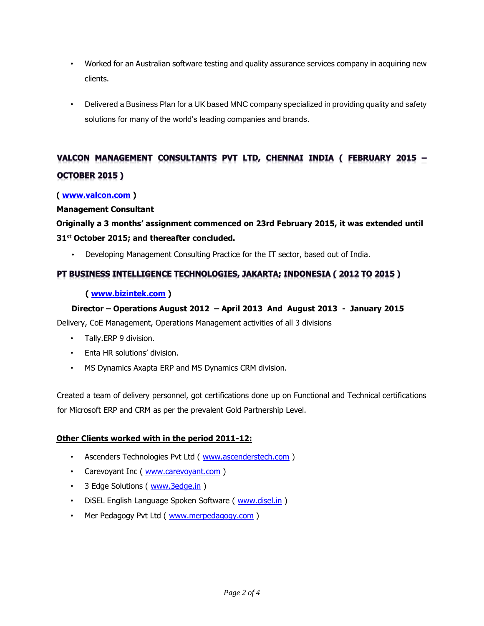- Worked for an Australian software testing and quality assurance services company in acquiring new clients.
- Delivered a Business Plan for a UK based MNC company specialized in providing quality and safety solutions for many of the world's leading companies and brands.

# VALCON MANAGEMENT CONSULTANTS PVT LTD, CHENNAI INDIA ( FEBRUARY 2015 -**OCTOBER 2015)**

#### **( [www.valcon.com](http://www.valcon.com/) )**

#### **Management Consultant**

# **Originally a 3 months' assignment commenced on 23rd February 2015, it was extended until 31st October 2015; and thereafter concluded.**

• Developing Management Consulting Practice for the IT sector, based out of India.

## PT BUSINESS INTELLIGENCE TECHNOLOGIES, JAKARTA; INDONESIA (2012 TO 2015)

### **( [www.bizintek.com](http://www.bizintek.com/) [\)](http://www.bizintek.com/)**

### **Director – Operations August 2012 – April 2013 And August 2013 - January 2015**

Delivery, CoE Management, Operations Management activities of all 3 divisions

- Tally.ERP 9 division.
- Enta HR solutions' division.
- MS Dynamics Axapta ERP and MS Dynamics CRM division.

Created a team of delivery personnel, got certifications done up on Functional and Technical certifications for Microsoft ERP and CRM as per the prevalent Gold Partnership Level.

#### **Other Clients worked with in the period 2011-12:**

- Ascenders Technologies Pvt Ltd ( [www.ascenderstech.com](http://www.ascenderstech.com/) [\)](http://www.ascenderstech.com/)
- Carevoyant Inc ( [www.carevoyant.com](http://www.carevoyant.com/) )
- 3 Edge Solutions ( [www.3edge.in](http://www.3edge.in/) [\)](http://www.3edge.in/)
- DiSEL English Language Spoken Software ( [www.disel.in](http://www.disel.in/) )
- Mer Pedagogy Pvt Ltd ( [www.merpedagogy.com](http://www.merpedagogy.com/) )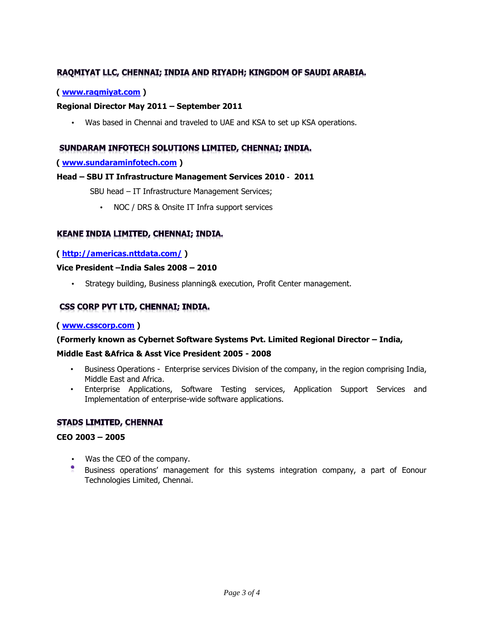## RAQMIYAT LLC, CHENNAI; INDIA AND RIYADH; KINGDOM OF SAUDI ARABIA.

#### **( [www.raqmiyat.com](http://www.raqmiyat.com/) )**

#### **Regional Director May 2011 – September 2011**

• Was based in Chennai and traveled to UAE and KSA to set up KSA operations.

### SUNDARAM INFOTECH SOLUTIONS LIMITED, CHENNAI; INDIA.

#### **( [www.sundaraminfotech.com](http://www.sundaraminfotech.com/) [\)](http://www.sundaraminfotech.com/)**

#### **Head – SBU IT Infrastructure Management Services 2010 - 2011**

SBU head – IT Infrastructure Management Services;

• NOC / DRS & Onsite IT Infra support services

#### KEANE INDIA LIMITED, CHENNAI; INDIA.

#### **(<http://americas.nttdata.com/> )**

#### **Vice President –India Sales 2008 – 2010**

• Strategy building, Business planning& execution, Profit Center management.

### CSS CORP PVT LTD, CHENNAI; INDIA.

#### **( [www.csscorp.com](http://www.csscorp.com/) )**

#### **(Formerly known as Cybernet Software Systems Pvt. Limited Regional Director – India,**

#### **Middle East &Africa & Asst Vice President 2005 - 2008**

- Business Operations Enterprise services Division of the company, in the region comprising India, Middle East and Africa.
- Enterprise Applications, Software Testing services, Application Support Services and Implementation of enterprise-wide software applications.

#### **STADS LIMITED, CHENNAI**

#### **CEO 2003 – 2005**

- Was the CEO of the company.
- Business operations' management for this systems integration company, a part of Eonour Technologies Limited, Chennai.